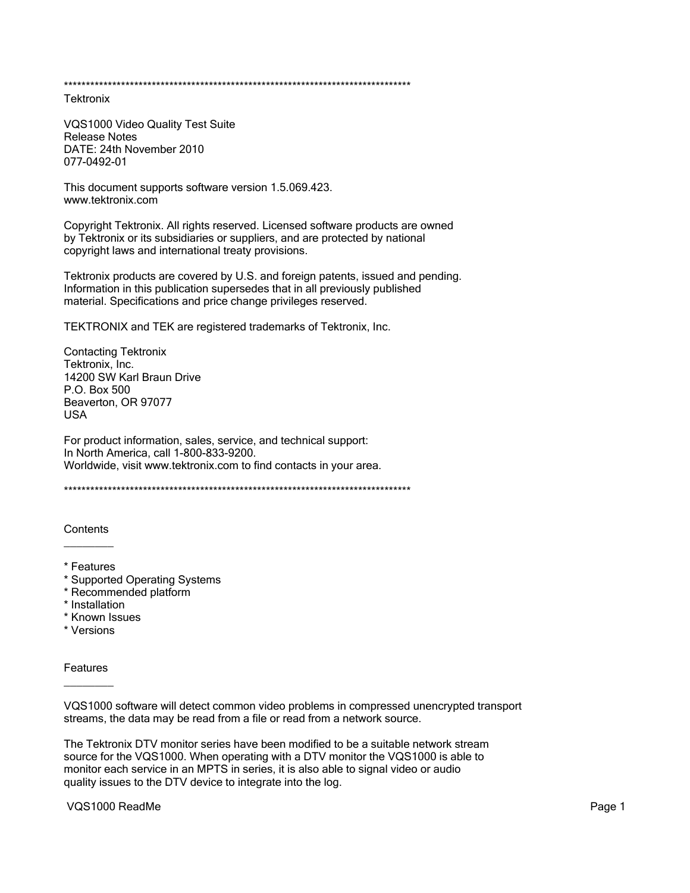**Tektronix** 

VQS1000 Video Quality Test Suite **Release Notes** DATE: 24th November 2010 077-0492-01

This document supports software version 1.5.069.423. www.tektronix.com

Copyright Tektronix. All rights reserved. Licensed software products are owned by Tektronix or its subsidiaries or suppliers, and are protected by national copyright laws and international treaty provisions.

Tektronix products are covered by U.S. and foreign patents, issued and pending. Information in this publication supersedes that in all previously published material. Specifications and price change privileges reserved.

TEKTRONIX and TEK are registered trademarks of Tektronix, Inc.

**Contacting Tektronix** Tektronix, Inc. 14200 SW Karl Braun Drive P.O. Box 500 Beaverton, OR 97077 **USA** 

For product information, sales, service, and technical support: In North America, call 1-800-833-9200. Worldwide, visit www.tektronix.com to find contacts in your area.

Contents

- \* Features
- \* Supported Operating Systems
- \* Recommended platform
- \* Installation
- \* Known Issues
- \* Versions

Features

VQS1000 software will detect common video problems in compressed unencrypted transport streams, the data may be read from a file or read from a network source.

The Tektronix DTV monitor series have been modified to be a suitable network stream source for the VQS1000. When operating with a DTV monitor the VQS1000 is able to monitor each service in an MPTS in series, it is also able to signal video or audio quality issues to the DTV device to integrate into the log.

VQS1000 ReadMe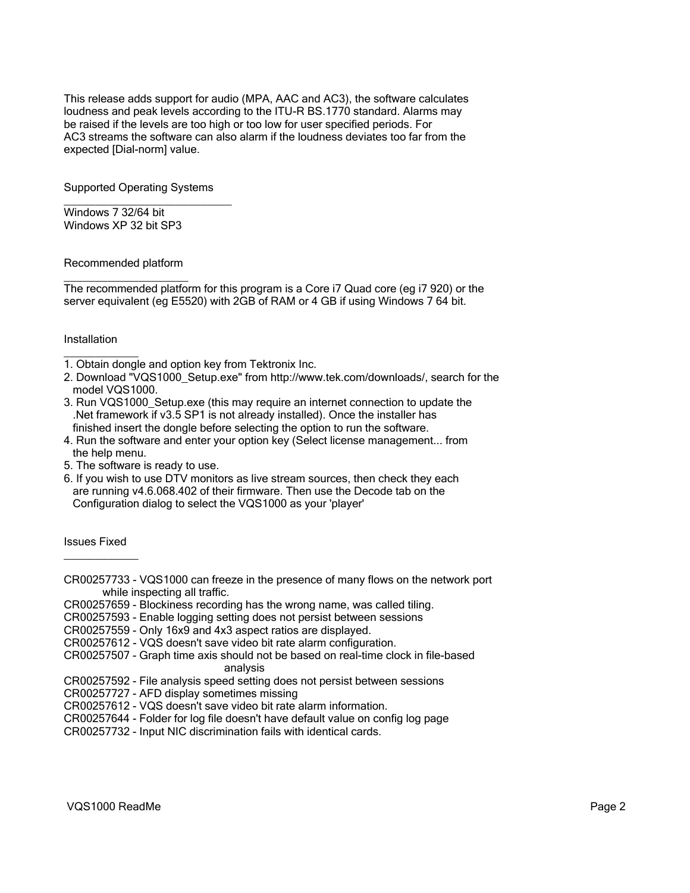This release adds support for audio (MPA, AAC and AC3), the software calculates loudness and peak levels according to the ITU-R BS.1770 standard. Alarms may be raised if the levels are too high or too low for user specified periods. For AC3 streams the software can also alarm if the loudness deviates too far from the expected [Dial-norm] value.

Supported Operating Systems

 $\overline{\phantom{a}}$  , which is the set of the set of the set of the set of the set of the set of the set of the set of the set of the set of the set of the set of the set of the set of the set of the set of the set of the set of

Windows 7 32/64 bit Windows XP 32 bit SP3

## Recommended platform

 $\overline{\phantom{a}}$  , where  $\overline{\phantom{a}}$  , where  $\overline{\phantom{a}}$  , where  $\overline{\phantom{a}}$ The recommended platform for this program is a Core i7 Quad core (eg i7 920) or the server equivalent (eg E5520) with 2GB of RAM or 4 GB if using Windows 7 64 bit.

## **Installation**

 $\overline{\phantom{a}}$ 

1. Obtain dongle and option key from Tektronix Inc.

- 2. Download "VQS1000\_Setup.exe" from http://www.tek.com/downloads/, search for the model VQS1000.
- 3. Run VQS1000\_Setup.exe (this may require an internet connection to update the .Net framework if v3.5 SP1 is not already installed). Once the installer has finished insert the dongle before selecting the option to run the software.
- 4. Run the software and enter your option key (Select license management... from the help menu.
- 5. The software is ready to use.
- 6. If you wish to use DTV monitors as live stream sources, then check they each are running v4.6.068.402 of their firmware. Then use the Decode tab on the Configuration dialog to select the VQS1000 as your 'player'

## Issues Fixed  $\overline{\phantom{a}}$  . The set of the set of the set of the set of the set of the set of the set of the set of the set of the set of the set of the set of the set of the set of the set of the set of the set of the set of the set o

- CR00257733 VQS1000 can freeze in the presence of many flows on the network port while inspecting all traffic.
- CR00257659 Blockiness recording has the wrong name, was called tiling.
- CR00257593 Enable logging setting does not persist between sessions
- CR00257559 Only 16x9 and 4x3 aspect ratios are displayed.
- CR00257612 VQS doesn't save video bit rate alarm configuration.
- CR00257507 Graph time axis should not be based on real-time clock in file-based analysis
- CR00257592 File analysis speed setting does not persist between sessions
- CR00257727 AFD display sometimes missing
- CR00257612 VQS doesn't save video bit rate alarm information.
- CR00257644 Folder for log file doesn't have default value on config log page
- CR00257732 Input NIC discrimination fails with identical cards.